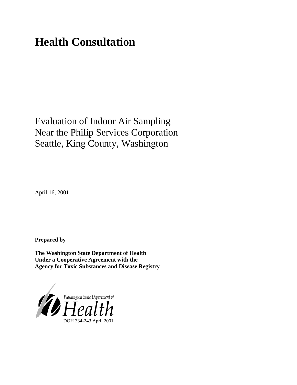# **Health Consultation**

# Evaluation of Indoor Air Sampling Near the Philip Services Corporation Seattle, King County, Washington

April 16, 2001

**Prepared by**

**The Washington State Department of Health Under a Cooperative Agreement with the Agency for Toxic Substances and Disease Registry**

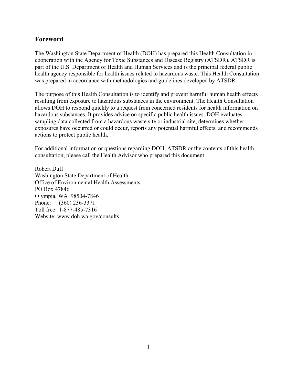### **Foreword**

The Washington State Department of Health (DOH) has prepared this Health Consultation in cooperation with the Agency for Toxic Substances and Disease Registry (ATSDR). ATSDR is part of the U.S. Department of Health and Human Services and is the principal federal public health agency responsible for health issues related to hazardous waste. This Health Consultation was prepared in accordance with methodologies and guidelines developed by ATSDR.

The purpose of this Health Consultation is to identify and prevent harmful human health effects resulting from exposure to hazardous substances in the environment. The Health Consultation allows DOH to respond quickly to a request from concerned residents for health information on hazardous substances. It provides advice on specific public health issues. DOH evaluates sampling data collected from a hazardous waste site or industrial site, determines whether exposures have occurred or could occur, reports any potential harmful effects, and recommends actions to protect public health.

For additional information or questions regarding DOH, ATSDR or the contents of this health consultation, please call the Health Advisor who prepared this document:

Robert Duff Washington State Department of Health Office of Environmental Health Assessments PO Box 47846 Olympia, WA 98504-7846 Phone: (360) 236-3371 Toll free: 1-877-485-7316 Website: www.doh.wa.gov/consults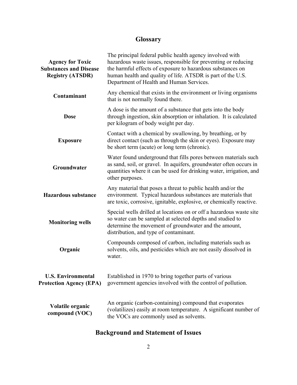## **Glossary**

| <b>Agency for Toxic</b><br><b>Substances and Disease</b><br><b>Registry (ATSDR)</b> | The principal federal public health agency involved with<br>hazardous waste issues, responsible for preventing or reducing<br>the harmful effects of exposure to hazardous substances on<br>human health and quality of life. ATSDR is part of the U.S.<br>Department of Health and Human Services. |
|-------------------------------------------------------------------------------------|-----------------------------------------------------------------------------------------------------------------------------------------------------------------------------------------------------------------------------------------------------------------------------------------------------|
| Contaminant                                                                         | Any chemical that exists in the environment or living organisms<br>that is not normally found there.                                                                                                                                                                                                |
| <b>Dose</b>                                                                         | A dose is the amount of a substance that gets into the body<br>through ingestion, skin absorption or inhalation. It is calculated<br>per kilogram of body weight per day.                                                                                                                           |
| <b>Exposure</b>                                                                     | Contact with a chemical by swallowing, by breathing, or by<br>direct contact (such as through the skin or eyes). Exposure may<br>be short term (acute) or long term (chronic).                                                                                                                      |
| Groundwater                                                                         | Water found underground that fills pores between materials such<br>as sand, soil, or gravel. In aquifers, groundwater often occurs in<br>quantities where it can be used for drinking water, irrigation, and<br>other purposes.                                                                     |
| <b>Hazardous substance</b>                                                          | Any material that poses a threat to public health and/or the<br>environment. Typical hazardous substances are materials that<br>are toxic, corrosive, ignitable, explosive, or chemically reactive.                                                                                                 |
| <b>Monitoring wells</b>                                                             | Special wells drilled at locations on or off a hazardous waste site<br>so water can be sampled at selected depths and studied to<br>determine the movement of groundwater and the amount,<br>distribution, and type of contaminant.                                                                 |
| Organic                                                                             | Compounds composed of carbon, including materials such as<br>solvents, oils, and pesticides which are not easily dissolved in<br>water.                                                                                                                                                             |
| <b>U.S. Environmental</b><br><b>Protection Agency (EPA)</b>                         | Established in 1970 to bring together parts of various<br>government agencies involved with the control of pollution.                                                                                                                                                                               |
| Volatile organic<br>compound (VOC)                                                  | An organic (carbon-containing) compound that evaporates<br>(volatilizes) easily at room temperature. A significant number of<br>the VOCs are commonly used as solvents.                                                                                                                             |

## **Background and Statement of Issues**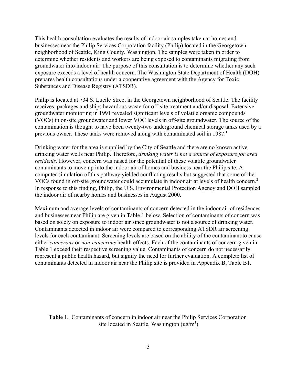This health consultation evaluates the results of indoor air samples taken at homes and businesses near the Philip Services Corporation facility (Philip) located in the Georgetown neighborhood of Seattle, King County, Washington. The samples were taken in order to determine whether residents and workers are being exposed to contaminants migrating from groundwater into indoor air. The purpose of this consultation is to determine whether any such exposure exceeds a level of health concern. The Washington State Department of Health (DOH) prepares health consultations under a cooperative agreement with the Agency for Toxic Substances and Disease Registry (ATSDR).

Philip is located at 734 S. Lucile Street in the Georgetown neighborhood of Seattle. The facility receives, packages and ships hazardous waste for off-site treatment and/or disposal. Extensive groundwater monitoring in 1991 revealed significant levels of volatile organic compounds (VOCs) in on-site groundwater and lower VOC levels in off-site groundwater. The source of the contamination is thought to have been twenty-two underground chemical storage tanks used by a previous owner. These tanks were removed along with contaminated soil in 1987.<sup>1</sup>

Drinking water for the area is supplied by the City of Seattle and there are no known active drinking water wells near Philip. Therefore, *drinking water is not a source of exposure for area residents*. However, concern was raised for the potential of these volatile groundwater contaminants to move up into the indoor air of homes and business near the Philip site. A computer simulation of this pathway yielded conflicting results but suggested that some of the VOCs found in off-site groundwater could accumulate in indoor air at levels of health concern.2 In response to this finding, Philip, the U.S. Environmental Protection Agency and DOH sampled the indoor air of nearby homes and businesses in August 2000.

Maximum and average levels of contaminants of concern detected in the indoor air of residences and businesses near Philip are given in Table 1 below. Selection of contaminants of concern was based on solely on exposure to indoor air since groundwater is not a source of drinking water. Contaminants detected in indoor air were compared to corresponding ATSDR air screening levels for each contaminant. Screening levels are based on the ability of the contaminant to cause either *cancerous* or *non-cancerous* health effects. Each of the contaminants of concern given in Table 1 exceed their respective screening value. Contaminants of concern do not necessarily represent a public health hazard, but signify the need for further evaluation. A complete list of contaminants detected in indoor air near the Philip site is provided in Appendix B, Table B1.

**Table 1.** Contaminants of concern in indoor air near the Philip Services Corporation site located in Seattle, Washington  $(ug/m<sup>3</sup>)$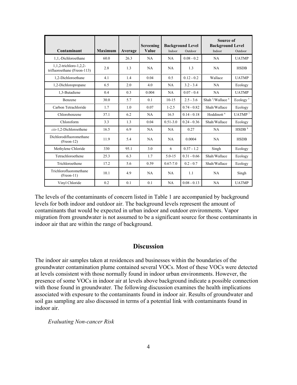| Contaminant                                           | <b>Maximum</b> | Average | Screening<br>Value | <b>Background Level</b><br>Outdoor<br>Indoor |               | Source of<br><b>Background Level</b><br>Indoor<br>Outdoor |                      |
|-------------------------------------------------------|----------------|---------|--------------------|----------------------------------------------|---------------|-----------------------------------------------------------|----------------------|
| 1,1,-Dichloroethane                                   | 60.0           | 26.3    | NA                 | <b>NA</b>                                    | $0.08 - 0.2$  | <b>NA</b>                                                 | <b>UATMP</b>         |
| 1,1,2-trichloro-1,2,2-<br>trifluoroethane (Freon-113) | 2.8            | 1.3     | NA                 | NA                                           | 1.3           | NA                                                        | <b>HSDB</b>          |
| 1,2-Dichloroethane                                    | 4.1            | 1.4     | 0.04               | 0.5                                          | $0.12 - 0.2$  | Wallace                                                   | <b>UATMP</b>         |
| 1,2-Dichloropropane                                   | 6.5            | 2.0     | 4.0                | NA                                           | $3.2 - 3.4$   | <b>NA</b>                                                 | Ecology              |
| 1,3-Butadiene                                         | 0.4            | 0.3     | 0.004              | NA                                           | $0.07 - 0.4$  | NA                                                        | <b>UATMP</b>         |
| Benzene                                               | 30.0           | 5.7     | 0.1                | $10-15$                                      | $2.5 - 3.6$   | Shah <sup>3</sup> /Wallace <sup>4</sup>                   | Ecology <sup>5</sup> |
| Carbon Tetrachloride                                  | 1.7            | 1.0     | 0.07               | $1 - 2.5$                                    | $0.74 - 0.82$ | Shah/Wallace                                              | Ecology              |
| Chlorobenzene                                         | 37.1           | 6.2     | NA                 | 16.5                                         | $0.14 - 0.18$ | Hoddinott <sup>6</sup>                                    | UATMP $^7$           |
| Chloroform                                            | 3.3            | 1.3     | 0.04               | $0.51 - 3.0$                                 | $0.24 - 0.36$ | Shah/Wallace                                              | Ecology              |
| cis-1,2-Dichloroethene                                | 16.5           | 6.9     | NA                 | NA                                           | 0.27          | NA                                                        | HSDB <sup>8</sup>    |
| Dichlorodifluoromethane<br>$(Freon-12)$               | 11.9           | 5.4     | NA                 | NA                                           | 0.0004        | NA                                                        | <b>HSDB</b>          |
| Methylene Chloride                                    | 330            | 95.1    | 3.0                | 6                                            | $0.37 - 1.2$  | Singh                                                     | Ecology              |
| Tetrachloroethene                                     | 25.3           | 6.3     | 1.7                | $5.0 - 15$                                   | $0.31 - 0.66$ | Shah/Wallace                                              | Ecology              |
| Trichloroethene                                       | 17.2           | 5.6     | 0.59               | $0.67 - 7.0$                                 | $0.2 - 0.7$   | Shah/Wallace                                              | Ecology              |
| Trichlorofluoromethane<br>$(Freon-11)$                | 10.1           | 4.9     | <b>NA</b>          | <b>NA</b>                                    | 1.1           | <b>NA</b>                                                 | Singh                |
| Vinyl Chloride                                        | 0.2            | 0.1     | 0.1                | NA                                           | $0.08 - 0.13$ | NA                                                        | <b>UATMP</b>         |

The levels of the contaminants of concern listed in Table 1 are accompanied by background levels for both indoor and outdoor air. The background levels represent the amount of contaminants that would be expected in urban indoor and outdoor environments. Vapor migration from groundwater is not assumed to be a significant source for those contaminants in indoor air that are within the range of background.

#### **Discussion**

The indoor air samples taken at residences and businesses within the boundaries of the groundwater contamination plume contained several VOCs. Most of these VOCs were detected at levels consistent with those normally found in indoor urban environments. However, the presence of some VOCs in indoor air at levels above background indicate a possible connection with those found in groundwater. The following discussion examines the health implications associated with exposure to the contaminants found in indoor air. Results of groundwater and soil gas sampling are also discussed in terms of a potential link with contaminants found in indoor air.

*Evaluating Non-cancer Risk*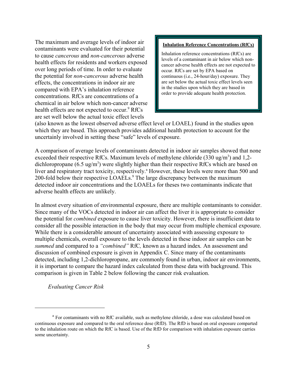The maximum and average levels of indoor air contaminants were evaluated for their potential to cause *cancerous* and *non-cancerous* adverse health effects for residents and workers exposed over long periods of time. In order to evaluate the potential for *non-cancerous* adverse health effects, the concentrations in indoor air are compared with EPA's inhalation reference concentrations. RfCs are concentrations of a chemical in air below which non-cancer adverse health effects are not expected to occur.<sup>9</sup> RfCs are set well below the actual toxic effect levels

#### **Inhalation Reference Concentrations (RfCs)**

Inhalation reference concentrations (RfCs) are levels of a contaminant in air below which noncancer adverse health effects are not expected to occur. RfCs are set by EPA based on continuous (i.e., 24-hour/day) exposure. They are set below the actual toxic effect levels seen in the studies upon which they are based in order to provide adequate health protection.

(also known as the lowest observed adverse effect level or LOAEL) found in the studies upon which they are based. This approach provides additional health protection to account for the uncertainly involved in setting these "safe" levels of exposure.

A comparison of average levels of contaminants detected in indoor air samples showed that none exceeded their respective RfCs. Maximum levels of methylene chloride  $(330 \text{ ug/m}^3)$  and 1,2dichloropropane (6.5 ug/m<sup>3</sup>) were slightly higher than their respective RfCs which are based on liver and respiratory tract toxicity, respectively.<sup>ª</sup> However, these levels were more than 500 and 200-fold below their respective LOAELs.<sup>9</sup> The large discrepancy between the maximum detected indoor air concentrations and the LOAELs for theses two contaminants indicate that adverse health effects are unlikely.

In almost every situation of environmental exposure, there are multiple contaminants to consider. Since many of the VOCs detected in indoor air can affect the liver it is appropriate to consider the potential for *combined* exposure to cause liver toxicity. However, there is insufficient data to consider all the possible interaction in the body that may occur from multiple chemical exposure. While there is a considerable amount of uncertainty associated with assessing exposure to multiple chemicals, overall exposure to the levels detected in these indoor air samples can be *summed* and compared to a *"combined"* RfC*,* known as a hazard index*.* An assessment and discussion of combined exposure is given in Appendix C. Since many of the contaminants detected, including 1,2-dichloropropane, are commonly found in urban, indoor air environments, it is important to compare the hazard index calculated from these data with background. This comparison is given in Table 2 below following the cancer risk evaluation.

*Evaluating Cancer Risk*

<sup>&</sup>lt;sup>a</sup> For contaminants with no RfC available, such as methylene chloride, a dose was calculated based on continuous exposure and compared to the oral reference dose (RfD). The RfD is based on oral exposure comparted to the inhalation route on which the RfC is based. Use of the RfD for comparison with inhalation exposure carries some uncertainty.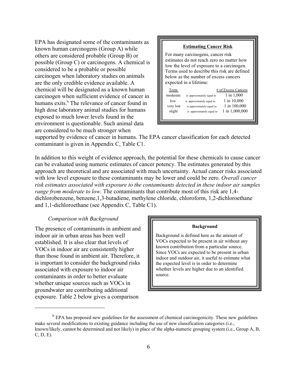EPA has designated some of the contaminants as known human carcinogens (Group A) while others are considered probable (Group B) or possible (Group C) or carcinogens. A chemical is considered to be a probable or possible carcinogen when laboratory studies on animals are the only credible evidence available. A chemical will be designated as a known human carcinogen when sufficient evidence of cancer in humans exits.<sup>b</sup> The relevance of cancer found in high dose laboratory animal studies for humans exposed to much lower levels found in the environment is questionable. Such animal data are considered to be much stronger when



supported by evidence of cancer in humans. The EPA cancer classification for each detected contaminant is given in Appendix C, Table C1.

In addition to this weight of evidence approach, the potential for these chemicals to cause cancer can be evaluated using numeric estimates of cancer potency. The estimates generated by this approach are theoretical and are associated with much uncertainty. Actual cancer risks associated with low level exposure to these contaminants may be lower and could be zero. *Overall cancer risk estimates associated with exposure to the contaminants detected in these indoor air samples range from moderate to low.* The contaminants that contribute most of this risk are 1,4 dichlorobenzene, benzene,1,3-butadiene, methylene chloride, chloroform, 1,2-dichloroethane and 1,1-dichloroethane (see Appendix C, Table C1).

#### *Comparison with Background*

The presence of contaminants in ambient and indoor air in urban areas has been well established. It is also clear that levels of VOCs in indoor air are consistently higher than those found in ambient air. Therefore, it is important to consider the background risks associated with exposure to indoor air contaminants in order to better evaluate whether unique sources such as VOCs in groundwater are contributing additional exposure. Table 2 below gives a comparison

#### **Background**

Background is defined here as the amount of VOCs expected to be present in air without any known contribution from a particular source. Since VOCs are expected to be present in urban indoor and outdoor air, it useful to estimate what the expected level is in order to determine whether levels are higher due to an identified source.

 $<sup>b</sup>$  EPA has proposed new guidelines for the assessment of chemical carcinogenicity. These new guidelines</sup> make several modifications to existing guidance including the use of new classification categories (i.e., known/likely, cannot be determined and not likely) in place of the alpha-numeric grouping system (i.e., Group A, B, C, D, E).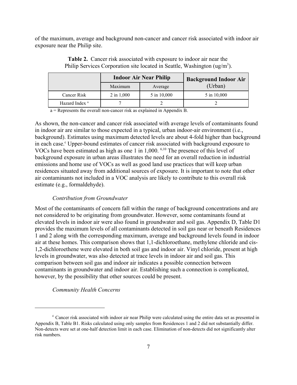of the maximum, average and background non-cancer and cancer risk associated with indoor air exposure near the Philip site.

|                           |              | <b>Indoor Air Near Philip</b> | <b>Background Indoor Air</b> |  |  |  |
|---------------------------|--------------|-------------------------------|------------------------------|--|--|--|
|                           | Maximum      | Average                       | (Urban)                      |  |  |  |
| Cancer Risk               | $2$ in 1,000 | 5 in 10,000                   | 5 in 10,000                  |  |  |  |
| Hazard Index <sup>a</sup> |              |                               |                              |  |  |  |

**Table 2.** Cancer risk associated with exposure to indoor air near the Philip Services Corporation site located in Seattle, Washington (ug/m<sup>3</sup>).

a = Represents the overall non-cancer risk as explained in Appendix B.

As shown, the non-cancer and cancer risk associated with average levels of contaminants found in indoor air are similar to those expected in a typical, urban indoor-air environment (i.e., background). Estimates using maximum detected levels are about 4-fold higher than background in each case.<sup>c</sup> Upper-bound estimates of cancer risk associated with background exposure to VOCs have been estimated as high as one 1 in 1,000.<sup>6,10</sup> The presence of this level of background exposure in urban areas illustrates the need for an overall reduction in industrial emissions and home use of VOCs as well as good land use practices that will keep urban residences situated away from additional sources of exposure. It is important to note that other air contaminants not included in a VOC analysis are likely to contribute to this overall risk estimate (e.g., formaldehyde).

#### *Contribution from Groundwater*

Most of the contaminants of concern fall within the range of background concentrations and are not considered to be originating from groundwater. However, some contaminants found at elevated levels in indoor air were also found in groundwater and soil gas. Appendix D, Table D1 provides the maximum levels of all contaminants detected in soil gas near or beneath Residences 1 and 2 along with the corresponding maximum, average and background levels found in indoor air at these homes. This comparison shows that 1,1-dichloroethane, methylene chloride and cis-1,2-dichloroethene were elevated in both soil gas and indoor air. Vinyl chloride, present at high levels in groundwater, was also detected at trace levels in indoor air and soil gas. This comparison between soil gas and indoor air indicates a possible connection between contaminants in groundwater and indoor air. Establishing such a connection is complicated, however, by the possibility that other sources could be present.

*Community Health Concerns*

<sup>c</sup> Cancer risk associated with indoor air near Philip were calculated using the entire data set as presented in Appendix B, Table B1. Risks calculated using only samples from Residences 1 and 2 did not substantially differ. Non-detects were set at one-half detection limit in each case. Elimination of non-detects did not significantly alter risk numbers.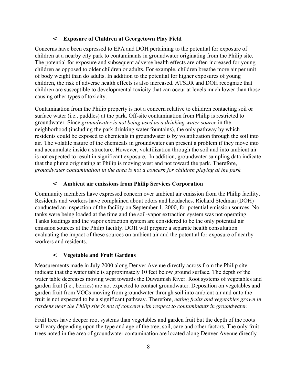#### < **Exposure of Children at Georgetown Play Field**

Concerns have been expressed to EPA and DOH pertaining to the potential for exposure of children at a nearby city park to contaminants in groundwater originating from the Philip site. The potential for exposure and subsequent adverse health effects are often increased for young children as opposed to older children or adults. For example, children breathe more air per unit of body weight than do adults. In addition to the potential for higher exposures of young children, the risk of adverse health effects is also increased. ATSDR and DOH recognize that children are susceptible to developmental toxicity that can occur at levels much lower than those causing other types of toxicity.

Contamination from the Philip property is not a concern relative to children contacting soil or surface water (i.e., puddles) at the park. Off-site contamination from Philip is restricted to groundwater. Since *groundwater is not being used as a drinking water source* in the neighborhood (including the park drinking water fountains), the only pathway by which residents could be exposed to chemicals in groundwater is by volatilization through the soil into air. The volatile nature of the chemicals in groundwater can present a problem if they move into and accumulate inside a structure. However, volatilization through the soil and into ambient air is not expected to result in significant exposure. In addition, groundwater sampling data indicate that the plume originating at Philip is moving west and not toward the park. Therefore, *groundwater contamination in the area is not a concern for children playing at the park.*

#### < **Ambient air emissions from Philip Services Corporation**

Community members have expressed concern over ambient air emission from the Philip facility. Residents and workers have complained about odors and headaches. Richard Stedman (DOH) conducted an inspection of the facility on September 1, 2000, for potential emission sources. No tanks were being loaded at the time and the soil-vapor extraction system was not operating. Tanks loadings and the vapor extraction system are considered to be the only potential air emission sources at the Philip facility. DOH will prepare a separate health consultation evaluating the impact of these sources on ambient air and the potential for exposure of nearby workers and residents.

#### < **Vegetable and Fruit Gardens**

Measurements made in July 2000 along Denver Avenue directly across from the Philip site indicate that the water table is approximately 10 feet below ground surface. The depth of the water table decreases moving west towards the Duwamish River. Root systems of vegetables and garden fruit (i.e., berries) are not expected to contact groundwater. Deposition on vegetables and garden fruit from VOCs moving from groundwater through soil into ambient air and onto the fruit is not expected to be a significant pathway. Therefore, *eating fruits and vegetables grown in gardens near the Philip site is not of concern with respect to contaminants in groundwater.* 

Fruit trees have deeper root systems than vegetables and garden fruit but the depth of the roots will vary depending upon the type and age of the tree, soil, care and other factors. The only fruit trees noted in the area of groundwater contamination are located along Denver Avenue directly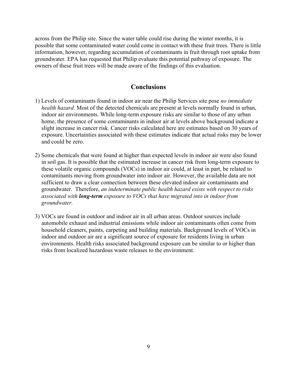across from the Philip site. Since the water table could rise during the winter months, it is possible that some contaminated water could come in contact with these fruit trees. There is little information, however, regarding accumulation of contaminants in fruit through root uptake from groundwater. EPA has requested that Philip evaluate this potential pathway of exposure. The owners of these fruit trees will be made aware of the findings of this evaluation.

#### **Conclusions**

- 1) Levels of contaminants found in indoor air near the Philip Services site pose *no immediate health hazard*. Most of the detected chemicals are present at levels normally found in urban, indoor air environments. While long-term exposure risks are similar to those of any urban home, the presence of some contaminants in indoor air at levels above background indicate a slight increase in cancer risk. Cancer risks calculated here are estimates based on 30 years of exposure. Uncertainties associated with these estimates indicate that actual risks may be lower and could be zero.
- 2) Some chemicals that were found at higher than expected levels in indoor air were also found in soil gas. It is possible that the estimated increase in cancer risk from long-term exposure to these volatile organic compounds (VOCs) in indoor air could, at least in part, be related to contaminants moving from groundwater into indoor air. However, the available data are not sufficient to draw a clear connection between these elevated indoor air contaminants and groundwater. Therefore, *an indeterminate public health hazard exists with respect to risks associated with long-term exposure to VOCs that have migrated into in indoor from groundwater.*
- 3) VOCs are found in outdoor and indoor air in all urban areas. Outdoor sources include automobile exhaust and industrial emissions while indoor air contaminants often come from household cleaners, paints, carpeting and building materials. Background levels of VOCs in indoor and outdoor air are a significant source of exposure for residents living in urban environments. Health risks associated background exposure can be similar to or higher than risks from localized hazardous waste releases to the environment.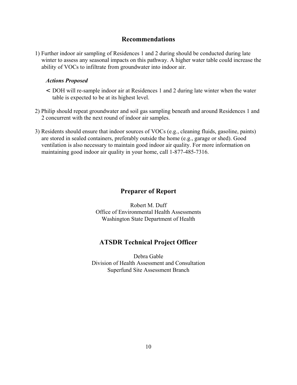#### **Recommendations**

1) Further indoor air sampling of Residences 1 and 2 during should be conducted during late winter to assess any seasonal impacts on this pathway. A higher water table could increase the ability of VOCs to infiltrate from groundwater into indoor air.

#### *Actions Proposed*

- < DOH will re-sample indoor air at Residences 1 and 2 during late winter when the water table is expected to be at its highest level.
- 2) Philip should repeat groundwater and soil gas sampling beneath and around Residences 1 and 2 concurrent with the next round of indoor air samples.
- 3) Residents should ensure that indoor sources of VOCs (e.g., cleaning fluids, gasoline, paints) are stored in sealed containers, preferably outside the home (e.g., garage or shed). Good ventilation is also necessary to maintain good indoor air quality. For more information on maintaining good indoor air quality in your home, call 1-877-485-7316.

#### **Preparer of Report**

Robert M. Duff Office of Environmental Health Assessments Washington State Department of Health

#### **ATSDR Technical Project Officer**

Debra Gable Division of Health Assessment and Consultation Superfund Site Assessment Branch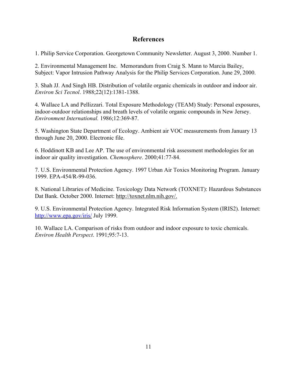#### **References**

1. Philip Service Corporation. Georgetown Community Newsletter. August 3, 2000. Number 1.

2. Environmental Management Inc. Memorandum from Craig S. Mann to Marcia Bailey, Subject: Vapor Intrusion Pathway Analysis for the Philip Services Corporation. June 29, 2000.

3. Shah JJ. And Singh HB. Distribution of volatile organic chemicals in outdoor and indoor air. *Environ Sci Tecnol*. 1988;22(12):1381-1388.

4. Wallace LA and Pellizzari. Total Exposure Methodology (TEAM) Study: Personal exposures, indoor-outdoor relationships and breath levels of volatile organic compounds in New Jersey. *Environment International.* 1986;12:369-87.

5. Washington State Department of Ecology. Ambient air VOC measurements from January 13 through June 20, 2000. Electronic file.

6. Hoddinott KB and Lee AP. The use of environmental risk assessment methodologies for an indoor air quality investigation. *Chemosphere*. 2000;41:77-84.

7. U.S. Environmental Protection Agency. 1997 Urban Air Toxics Monitoring Program. January 1999. EPA-454/R-99-036.

8. National Libraries of Medicine. Toxicology Data Network (TOXNET): Hazardous Substances Dat Bank. October 2000. Internet: http://toxnet.nlm.nih.gov/.

9. U.S. Environmental Protection Agency. Integrated Risk Information System (IRIS2). Internet: http://www.epa.gov/iris/ July 1999.

10. Wallace LA. Comparison of risks from outdoor and indoor exposure to toxic chemicals. *Environ Health Perspect*. 1991;95:7-13.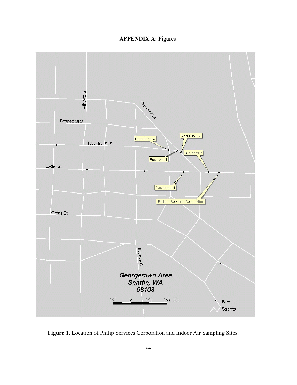## **APPENDIX A: Figures**



**Figure 1.** Location of Philip Services Corporation and Indoor Air Sampling Sites.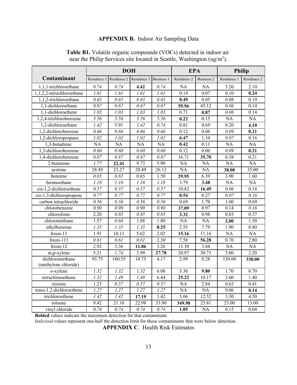## **APPENDIX B.** Indoor Air Sampling Data

|                           | <b>DOH</b>              |                   |                   | <b>EPA</b>        |             | <b>Philip</b>     |                   |                   |
|---------------------------|-------------------------|-------------------|-------------------|-------------------|-------------|-------------------|-------------------|-------------------|
| Contaminant               | Residence 1             | Residence 2       | Residence 3       | <b>Business 1</b> | Residence 2 | <b>Business 2</b> | Residence 1       | Residence 2       |
| 1,1,1-trichloroethane     | 0.74                    | 0.74              | 4.42              | 0.74              | NA          | NA                | 3.20              | 2.10              |
| 1,1,2,2-tetrachloroethane | $\overline{1.61}$       | $\overline{1.61}$ | $\overline{1.61}$ | $\overline{1.61}$ | 0.14        | 0.07              | 0.10              | 0.24              |
| 1,1,2-trichloroethane     | $\overline{\theta}$ .65 | 0.65              | 0.65              | 0.65              | 0.49        | 0.05              | 0.08              | 0.19              |
| 1,1-dichloroethane        | 0.67                    | 0.67              | 0.67              | 0.67              | 59.96       | 45.12             | 0.06              | 0.14              |
| 1,1-dichloroethene        | 1.03                    | 1.03              | 1.03              | 1.03              | 0.71        | 0.87              | 0.06              | 0.14              |
| 1,2,4-trichlorobenzene    | 5.56                    | 5.56              | 5.56              | 5.56              | 0.22        | 0.15              | <b>NA</b>         | <b>NA</b>         |
| 1,2-dichloroethane        | 1.42                    | 5.91              | 1.42              | 0.74              | 0.81        | 0.69              | 0.20              | 4.10              |
| 1,2-dichlorobenzene       | 0.66                    | 0.66              | 0.66              | 0.66              | 0.12        | 0.06              | 0.09              | 0.21              |
| 1,2-dichloropropane       | 1.02                    | 1.02              | 1.02              | 1.02              | 6.47        | 1.34              | 0.07              | 0.16              |
| 1,3-butadiene             | <b>NA</b>               | <b>NA</b>         | <b>NA</b>         | <b>NA</b>         | 0.42        | 0.11              | NA                | <b>NA</b>         |
| 1,3-dichlorobenzene       | 0.60                    | 0.60              | 0.60              | 0.60              | 0.12        | 0.06              | 0.09              | 0.21              |
| 1,4-dichlorobenzene       | 0.87                    | 0.87              | 0.87              | 0.87              | 16.71       | 35.70             | 0.38              | $0.\overline{21}$ |
| 2-butanone                | $\overline{1.77}$       | 22.41             | 9.73              | 5.90              | <b>NA</b>   | <b>NA</b>         | <b>NA</b>         | <b>NA</b>         |
| acetone                   | 28.49                   | 23.27             | 28.49             | 26.12             | <b>NA</b>   | <b>NA</b>         | 38.00             | 35.00             |
| benzene                   | 0.65                    | 0.65              | 0.65              | 1.50              | 29.95       | 6.39              | 3.90              | 1.60              |
| bromoethane               | 1.18                    | 1.18              | 1.18              | 1.18              | 3.79        | 3.48              | NA                | <b>NA</b>         |
| cis-1,2-dichloroethene    | 0.57                    | 0.57              | 0.57              | 0.57              | 10.82       | 16.49             | 0.06              | 0.14              |
| cis-1,3-dichloropropene   | 0.77                    | 0.77              | 0.77              | 0.77              | 0.54        | 0.27              | $\overline{0.07}$ | $\overline{0.16}$ |
| carbon tetrachloride      | 0.56                    | 0.56              | 0.56              | 0.56              | 0.69        | $\overline{1.70}$ | $\overline{1.00}$ | 0.69              |
| chlorobenzene             | 0.90                    | 0.90              | 0.90              | 0.90              | 37.09       | 8.97              | 0.14              | 0.16              |
| chloroform                | 2.20                    | 0.85              | 0.85              | 0.85              | 3.32        | 0.98              | 0.83              | 0.37              |
| chloromethane             | 1.57                    | 0.64              | 1.88              | 1.80              | <b>NA</b>   | <b>NA</b>         | 2.00              | 1.50              |
| ethylbenzene              | 1.35                    | 1.35              | 1.35              | 8.25              | 2.55        | 7.79              | 1.90              | 0.80              |
| freon-11                  | 1.91                    | 10.11             | 5.62              | 2.02              | 15.16       | 11.16             | <b>NA</b>         | <b>NA</b>         |
| freon-113                 | 0.61                    | 0.61              | 0.61              | 2.30              | 7.58        | 56.28             | 0.70              | 2.80              |
| freon-12                  | 2.92                    | 3.36              | 11.86             | 3.26              | 13.30       | 3.84              | $\overline{NA}$   | NA                |
| m,p-xylene                | 5.21                    | 1.74              | 3.99              | 27.78             | 20.97       | 30.73             | 5.80              | 2.20              |
| dichloromethane           | 93.75                   | 180.55            | 18.75             | 4.17              | 2.99        | 0.28              | 130.00            | 330.00            |
| (methylene chloride)      |                         |                   |                   |                   |             |                   |                   |                   |
| o-xylene                  | 1.32                    | 1.32              | 1.32              | 6.08              | 3.30        | 9.80              | 1.70              | 0.70              |
| tetrachloroethene         | 1.32                    | 1.49              | 1.49              | 6.44              | 25.22       | 10.17             | 2.60              | 1.40              |
| styrene                   | 1.23                    | 0.57              | 0.57              | 0.57              | <b>NA</b>   | 2.84              | 0.62              | 0.41              |
| trans-1,2-dichloroethene  | 1.27                    | 1.27              | 1.27              | 1.27              | <b>NA</b>   | <b>NA</b>         | 0.06              | 0.14              |
| trichloroethene           | 1.42                    | 1.42              | 17.19             | 1.42              | 3.06        | 12.52             | 3.30              | 4.50              |
| toluene                   | 9.42                    | 21.10             | 22.98             | 33.90             | 349.98      | 23.81             | 23.00             | 13.00             |
| vinyl chloride            | 0.74                    | 0.74              | 0.74              | 0.74              | 1.05        | <b>NA</b>         | 0.15              | 0.04              |

**Table B1.** Volatile organic compounds (VOCs) detected in indoor air near the Philip Services site located in Seattle, Washington ( $ug/m<sup>3</sup>$ ).

**Bolded** values indicate the maximum detection for that contaminant.

*Italicized* values represent one-half the detection limit for those contaminants that were below detection.

**APPENDIX C**. Health Risk Estimates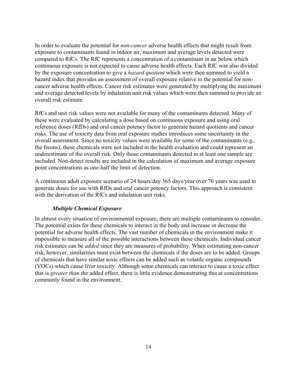In order to evaluate the potential for *non-cancer* adverse health effects that might result from exposure to contaminants found in indoor air, maximum and average levels detected were compared to RfCs. The RfC represents a concentration of a contaminant in air below which continuous exposure is not expected to cause adverse health effects. Each RfC was also divided by the exposure concentration to give a *hazard quotient* which were then summed to yield a hazard index that provides an assessment of overall exposure relative to the potential for noncancer adverse health effects. Cancer risk estimates were generated by multiplying the maximum and average detected levels by inhalation unit risk values which were then summed to provide an overall risk estimate.

RfCs and unit risk values were not available for many of the contaminants detected. Many of these were evaluated by calculating a dose based on continuous exposure and using oral reference doses (RfDs) and oral cancer potency factor to generate hazard quotients and cancer risks. The use of toxicity data from oral exposure studies introduces some uncertainty in the overall assessment. Since no toxicity values were available for some of the contaminants (e.g., the freons), these chemicals were not included in the health evaluation and could represent an underestimate of the overall risk. Only those contaminants detected in at least one sample are included. Non-detect results are included in the calculation of maximum and average exposure point concentrations as one-half the limit of detection.

A continuous adult exposure scenario of 24 hours/day 365 days/year over 70 years was used to generate doses for use with RfDs and oral cancer potency factors. This approach is consistent with the derivation of the RfCs and inhalation unit risks.

#### *Multiple Chemical Exposure*

In almost every situation of environmental exposure, there are multiple contaminants to consider. The potential exists for these chemicals to interact in the body and increase or decrease the potential for adverse health effects. The vast number of chemicals in the environment make it impossible to measure all of the possible interactions between these chemicals. Individual cancer risk estimates can be *added* since they are measures of probability. When estimating non-cancer risk, however, similarities must exist between the chemicals if the doses are to be added. Groups of chemicals that have similar toxic effects can be added such as volatile organic compounds (VOCs) which cause liver toxicity. Although some chemicals can interact to cause a toxic effect that is *greater than* the added effect, there is little evidence demonstrating this at concentrations commonly found in the environment.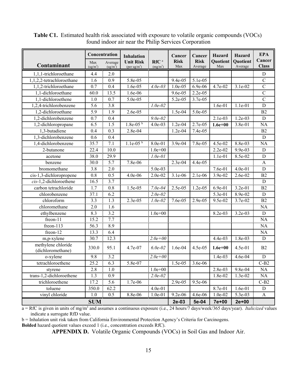|                                         | Concentration               |                                 | <b>Inhalation</b>                            |                                          | Cancer             | Cancer                 | Hazard                 | <b>Hazard</b>       | <b>EPA</b>             |
|-----------------------------------------|-----------------------------|---------------------------------|----------------------------------------------|------------------------------------------|--------------------|------------------------|------------------------|---------------------|------------------------|
| Contaminant                             | Max<br>(ug/m <sup>3</sup> ) | Average<br>(ug/m <sup>3</sup> ) | <b>Unit Risk</b><br>(per ug/m <sup>3</sup> ) | RfC <sup>a</sup><br>(mg/m <sup>3</sup> ) | <b>Risk</b><br>Max | <b>Risk</b><br>Average | <b>Quotient</b><br>Max | Quotient<br>Average | Cancer<br><b>Class</b> |
| 1,1,1-trichloroethane                   | 4.4                         | 2.0                             |                                              |                                          |                    |                        |                        |                     | $\mathbf D$            |
| 1,1,2,2-tetrachloroethane               | 1.6                         | 0.9                             | 5.8e-05                                      |                                          | 9.4e-05            | 5.1e-05                |                        |                     | $\overline{C}$         |
| 1,1,2-trichloroethane                   | 0.7                         | 0.4                             | 1.6e-05                                      | $4.0e-03$                                | 1.0e-05            | 6.9e-06                | 4.7e-02                | 3.1e-02             | $\mathcal{C}$          |
| 1,1-dichloroethane                      | 60.0                        | 13.5                            | 1.6e-06                                      |                                          | 9.6e-05            | 2.2e-05                |                        |                     | $\mathcal{C}$          |
| 1,1-dichloroethene                      | 1.0                         | 0.7                             | 5.0e-05                                      |                                          | 5.2e-05            | 3.7e-05                |                        |                     | $\overline{C}$         |
| 1,2,4-trichlorobenzene                  | 5.6                         | 3.8                             |                                              | $1.0e-02$                                |                    |                        | 1.6e-01                | 1.1e-01             | $\mathbf D$            |
| 1,2-dichloroethane                      | 5.9                         | 1.9                             | 2.6e-05                                      |                                          | 1.5e-04            | 5.0e-05                |                        |                     | B2                     |
| 1,2-dichlorobenzene                     | 0.7                         | 0.4                             |                                              | $9.0e - 0.2$                             |                    |                        | 2.1e-03                | $1.2e-03$           | $\mathbf D$            |
| 1,2-dichloropropane                     | 6.5                         | 1.5                             | $1.8e-05b$                                   | 4.0e-03                                  | 1.2e-04            | 2.7e-05                | $1.6e + 00$            | 3.8e-01             | NA                     |
| 1,3-butadiene                           | 0.4                         | 0.3                             | 2.8e-04                                      |                                          | 1.2e-04            | 7.4e-05                |                        |                     | B2                     |
| 1,3-dichlorobenzene                     | 0.6                         | 0.4                             |                                              |                                          |                    |                        |                        |                     | $\mathbf D$            |
| 1,4-dichlorobenzene                     | 35.7                        | 7.1                             | $1.1e-05b$                                   | 8.0e-01                                  | 3.9e-04            | 7.8e-05                | 4.5e-02                | 8.8e-03             | <b>NA</b>              |
| 2-butanone                              | 22.4                        | 10.0                            |                                              | $1.0e + 00$                              |                    |                        | 2.2e-02                | 9.9e-03             | $\mathbf D$            |
| acetone                                 | 38.0                        | 29.9                            |                                              | $1.0e-01$                                |                    |                        | $1.1e-01$              | 8.5e-02             | $\mathbf D$            |
| benzene                                 | 30.0                        | 5.7                             | 7.8e-06                                      |                                          | 2.3e-04            | 4.4e-05                |                        |                     | $\mathbf{A}$           |
| bromomethane                            | 3.8                         | 2.0                             |                                              | 5.0e-03                                  |                    |                        | 7.6e-01                | 4.0e-01             | $\mathbf D$            |
| cis-1,3-dichloropropene                 | 0.8                         | 0.5                             | 4.0e-06                                      | 2.0e-02                                  | $3.1e-06$          | 2.1e-06                | 3.9e-02                | 2.6e-02             | B <sub>2</sub>         |
| cis-1,2-dichloroethene                  | 16.5                        | 3.7                             |                                              |                                          |                    |                        |                        |                     | $\mathbf D$            |
| carbon tetrachloride                    | 1.7                         | 0.8                             | 1.5e-05                                      | $7.0e-04$                                | 2.5e-05            | 1.2e-05                | 6.9e-01                | 3.2e-01             | B2                     |
| chlorobenzene                           | 37.1                        | 6.2                             |                                              | $2.0e-0.2$                               |                    |                        | 5.3e-01                | 8.9e-02             | $\mathbf D$            |
| chloroform                              | 3.3                         | 1.3                             | 2.3e-05                                      | $1.0e-02$                                | 7.6e-05            | 2.9e-05                | 9.5e-02                | 3.7e-02             | B2                     |
| chloromethane                           | 2.0                         | 1.6                             |                                              |                                          |                    |                        |                        |                     | NA                     |
| ethylbenzene                            | 8.3                         | 3.2                             |                                              | $1.0e + 00$                              |                    |                        | 8.2e-03                | 3.2e-03             | $\mathbf D$            |
| freon-11                                | 15.2                        | 7.7                             |                                              |                                          |                    |                        |                        |                     | <b>NA</b>              |
| freon-113                               | 56.3                        | 8.9                             |                                              |                                          |                    |                        |                        |                     | NA                     |
| freon-12                                | 13.3                        | 6.4                             |                                              |                                          |                    |                        |                        |                     | NA                     |
| m,p-xylene                              | 30.7                        | 12.3                            |                                              | $2.0e + 0.0$                             |                    |                        | 4.4e-03                | 1.8e-03             | D                      |
| methylene chloride<br>(dichloromethane) | 330.0                       | 95.1                            | 4.7e-07                                      | $6.0e-0.2$                               | 1.6e-04            | 4.5e-05                | $1.6e + 00$            | 4.5e-01             | B2                     |
| o-xylene                                | 9.8                         | 3.2                             |                                              | $2.0e + 0.0$                             |                    |                        | $1.4e-03$              | 4.6e-04             | $\mathbf D$            |
| tetrachloroethene                       | 25.2                        | 6.3                             | 5.8e-07                                      |                                          | 1.5e-05            | 3.6e-06                |                        |                     | $C-B2$                 |
| styrene                                 | 2.8                         | 1.0                             |                                              | $1.0e + 00$                              |                    |                        | 2.8e-03                | 9.8e-04             | NA                     |
| trans-1,2-dichloroethene                | 1.3                         | 0.9                             |                                              | $2.0e-02$                                |                    |                        | 1.8e-02                | 1.3e-02             | NA                     |
| trichloroethene                         | 17.2                        | 5.6                             | 1.7e-06                                      |                                          | 2.9e-05            | 9.5e-06                |                        |                     | $C-B2$                 |
| toluene                                 | 350.0                       | 62.2                            |                                              | 4.0e-01                                  |                    |                        | 8.7e-01                | 1.6e-01             | ${\rm D}$              |
| vinyl chloride                          | 1.0                         | 0.5                             | 8.8e-06                                      | 1.0e-01                                  | 9.2e-06            | 4.6e-06                | 1.0e-02                | 5.3e-03             | $\mathbf{A}$           |
| <b>SUM</b>                              |                             |                                 |                                              |                                          | 2e-03              | 5e-04                  | 7e+00                  | $2e + 00$           |                        |

**Table C1.** Estimated health risk associated with exposure to volatile organic compounds (VOCs) found indoor air near the Philip Services Corporation

a = RfC is given in units of mg/m<sup>3</sup> and assumes a continuous exposure (i.e., 24 hours/7 days/week/365 days/year). *Italicized* values indicate a surrogate RfD value.

b = Inhalation unit risk taken from California Environmental Protection Agency's Criteria for Carcinogens.

**Bolded** hazard quotient values exceed 1 (i.e., concentration exceeds RfC).

**APPENDIX D.** Volatile Organic Compounds (VOCs) in Soil Gas and Indoor Air.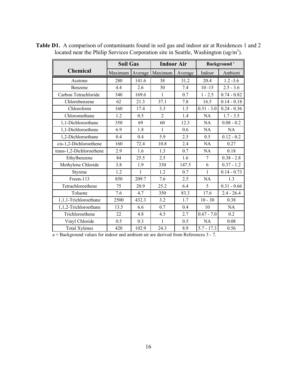|                          | <b>Soil Gas</b> |              | <b>Indoor Air</b> |         | Background <sup>a</sup> |               |  |
|--------------------------|-----------------|--------------|-------------------|---------|-------------------------|---------------|--|
| <b>Chemical</b>          | Maximum         | Average      | Maximum           | Average | Indoor                  | Ambient       |  |
| Acetone                  | 280             | 141.6        | 38                | 31.2    | 20.4                    | $1.2 - 3.6$   |  |
| Benzene                  | 4.4             | 2.6          | 30                | 7.4     | $10 - 15$               | $2.5 - 3.6$   |  |
| Carbon Tetrachloride     | 340             | 169.6        | 1                 | 0.7     | $1 - 2.5$               | $0.74 - 0.82$ |  |
| Chlorobenzene            | 62              | 21.3         | 37.1              | 7.8     | 16.5                    | $0.14 - 0.18$ |  |
| Chloroform               | 160             | 17.4         | 3.3               | 1.5     | $0.51 - 3.0$            | $0.24 - 0.36$ |  |
| Chloromethane            | 1.2             | 0.5          | $\overline{2}$    | 1.4     | <b>NA</b>               | $1.7 - 3.5$   |  |
| 1,1-Dichloroethane       | 350             | 69           | 60                | 12.3    | NA                      | $0.08 - 0.2$  |  |
| 1,1-Dichloroethene       | 6.9             | 1.8          | $\mathbf{1}$      | 0.6     | <b>NA</b>               | <b>NA</b>     |  |
| 1,2-Dichloroethane       | 0.4             | 0.4          | 5.9               | 2.5     | 0.5                     | $0.12 - 0.2$  |  |
| cis-1,2-Dichloroethene   | 160             | 72.4         | 10.8              | 2.4     | NA                      | 0.27          |  |
| trans-1,2-Dichloroethene | 2.9             | 1.6          | 1.3               | 0.7     | NA                      | 0.18          |  |
| Ethylbenzene             | 84              | 25.5         | 2.5               | 1.6     | $\overline{7}$          | $0.38 - 2.8$  |  |
| Methylene Chloride       | 3.8             | 1.9          | 330               | 147.5   | 6                       | $0.37 - 1.2$  |  |
| Styrene                  | 1.2             | $\mathbf{1}$ | 1.2               | 0.7     | $\mathbf{1}$            | $0.14 - 0.73$ |  |
| Freon-113                | 850             | 209.7        | 7.6               | 2.5     | NA                      | 1.3           |  |
| Tetrachloroethene        | 75              | 20.9         | 25.2              | 6.4     | 5                       | $0.31 - 0.66$ |  |
| Toluene                  | 7.6             | 4.7          | 350               | 83.3    | 17.6                    | $2.4 - 26.4$  |  |
| 1,1,1-Trichloroethane    | 2500            | 432.3        | 3.2               | 1.7     | $10 - 30$               | 0.38          |  |
| 1,1,2-Trichloroethane    | 13.5            | 6.6          | 0.7               | 0.4     | 10                      | NA            |  |
| Trichloroethene          | 22              | 4.8          | 4.5               | 2.7     | $0.67 - 7.0$            | 0.2           |  |
| Vinyl Chloride           | 0.5             | 0.3          | $\mathbf{1}$      | 0.5     | <b>NA</b>               | 0.08          |  |
| <b>Total Xylenes</b>     | 420             | 102.9        | 24.3              | 8.9     | $5.7 - 17.3$            | 0.56          |  |

**Table D1.** A comparison of contaminants found in soil gas and indoor air at Residences 1 and 2 located near the Philip Services Corporation site in Seattle, Washington (ug/m<sup>3</sup>).

a = Background values for indoor and ambient air are derived from References 3 - 7.